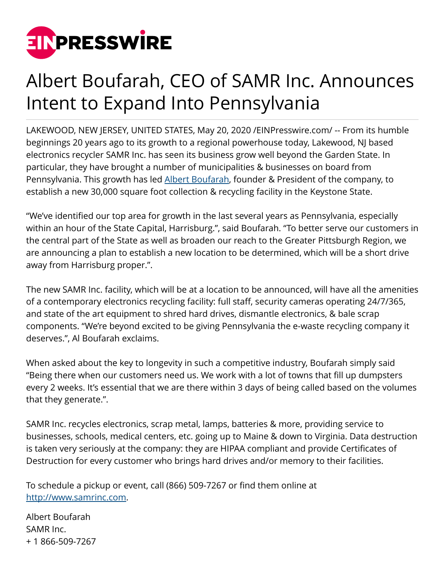

## Albert Boufarah, CEO of SAMR Inc. Announces Intent to Expand Into Pennsylvania

LAKEWOOD, NEW JERSEY, UNITED STATES, May 20, 2020 /[EINPresswire.com](http://www.einpresswire.com)/ -- From its humble beginnings 20 years ago to its growth to a regional powerhouse today, Lakewood, NJ based electronics recycler SAMR Inc. has seen its business grow well beyond the Garden State. In particular, they have brought a number of municipalities & businesses on board from Pennsylvania. This growth has led [Albert Boufarah](http://albertboufarah.com/), founder & President of the company, to establish a new 30,000 square foot collection & recycling facility in the Keystone State.

"We've identified our top area for growth in the last several years as Pennsylvania, especially within an hour of the State Capital, Harrisburg.", said Boufarah. "To better serve our customers in the central part of the State as well as broaden our reach to the Greater Pittsburgh Region, we are announcing a plan to establish a new location to be determined, which will be a short drive away from Harrisburg proper.".

The new SAMR Inc. facility, which will be at a location to be announced, will have all the amenities of a contemporary electronics recycling facility: full staff, security cameras operating 24/7/365, and state of the art equipment to shred hard drives, dismantle electronics, & bale scrap components. "We're beyond excited to be giving Pennsylvania the e-waste recycling company it deserves.", Al Boufarah exclaims.

When asked about the key to longevity in such a competitive industry, Boufarah simply said "Being there when our customers need us. We work with a lot of towns that fill up dumpsters every 2 weeks. It's essential that we are there within 3 days of being called based on the volumes that they generate.".

SAMR Inc. recycles electronics, scrap metal, lamps, batteries & more, providing service to businesses, schools, medical centers, etc. going up to Maine & down to Virginia. Data destruction is taken very seriously at the company: they are HIPAA compliant and provide Certificates of Destruction for every customer who brings hard drives and/or memory to their facilities.

To schedule a pickup or event, call (866) 509-7267 or find them online at [http://www.samrinc.com.](http://www.samrinc.com)

Albert Boufarah SAMR Inc. + 1 866-509-7267